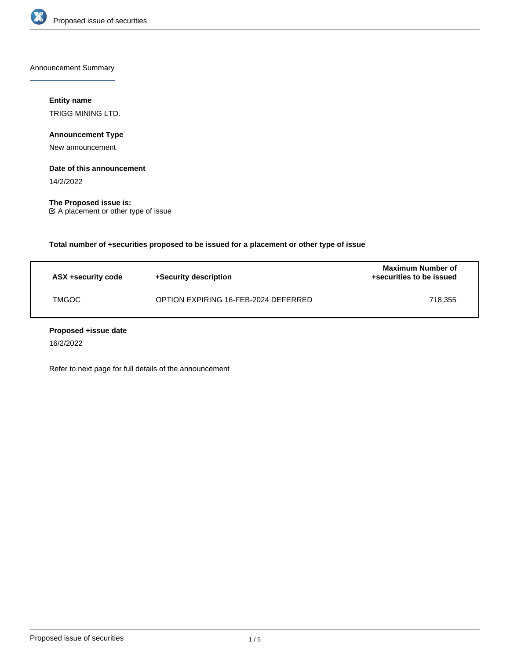

Announcement Summary

## **Entity name**

TRIGG MINING LTD.

## **Announcement Type**

New announcement

### **Date of this announcement**

14/2/2022

**The Proposed issue is:** A placement or other type of issue

**Total number of +securities proposed to be issued for a placement or other type of issue**

| ASX +security code | +Security description                | <b>Maximum Number of</b><br>+securities to be issued |
|--------------------|--------------------------------------|------------------------------------------------------|
| <b>TMGOC</b>       | OPTION EXPIRING 16-FEB-2024 DEFERRED | 718.355                                              |

### **Proposed +issue date**

16/2/2022

Refer to next page for full details of the announcement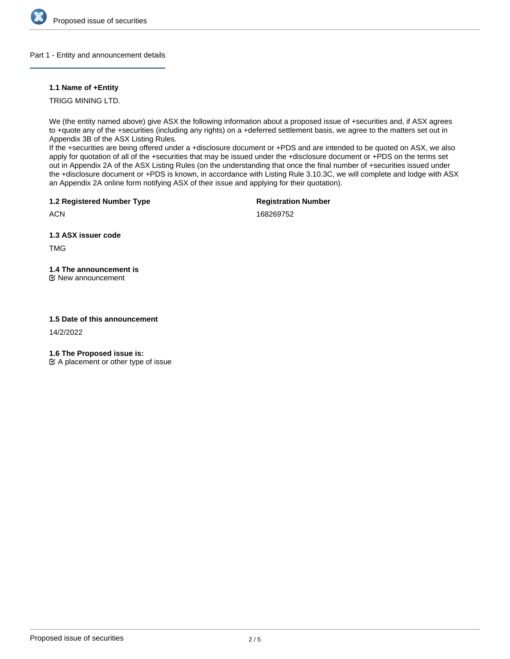

## Part 1 - Entity and announcement details

## **1.1 Name of +Entity**

TRIGG MINING LTD.

We (the entity named above) give ASX the following information about a proposed issue of +securities and, if ASX agrees to +quote any of the +securities (including any rights) on a +deferred settlement basis, we agree to the matters set out in Appendix 3B of the ASX Listing Rules.

If the +securities are being offered under a +disclosure document or +PDS and are intended to be quoted on ASX, we also apply for quotation of all of the +securities that may be issued under the +disclosure document or +PDS on the terms set out in Appendix 2A of the ASX Listing Rules (on the understanding that once the final number of +securities issued under the +disclosure document or +PDS is known, in accordance with Listing Rule 3.10.3C, we will complete and lodge with ASX an Appendix 2A online form notifying ASX of their issue and applying for their quotation).

**1.2 Registered Number Type**

**Registration Number**

**ACN** 

168269752

**1.3 ASX issuer code**

TMG

# **1.4 The announcement is**

New announcement

# **1.5 Date of this announcement**

14/2/2022

**1.6 The Proposed issue is:**

 $\mathfrak{C}$  A placement or other type of issue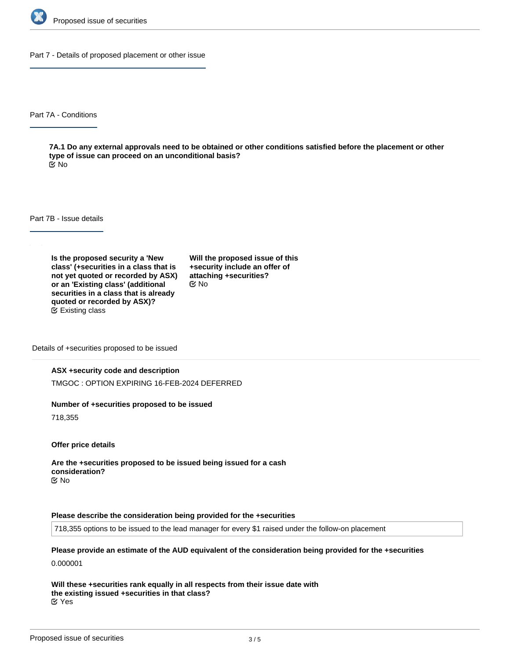

Part 7 - Details of proposed placement or other issue

Part 7A - Conditions

**7A.1 Do any external approvals need to be obtained or other conditions satisfied before the placement or other type of issue can proceed on an unconditional basis?** No

Part 7B - Issue details

**Is the proposed security a 'New class' (+securities in a class that is not yet quoted or recorded by ASX) or an 'Existing class' (additional securities in a class that is already quoted or recorded by ASX)?** Existing class

**Will the proposed issue of this +security include an offer of attaching +securities?** No

Details of +securities proposed to be issued

### **ASX +security code and description**

TMGOC : OPTION EXPIRING 16-FEB-2024 DEFERRED

### **Number of +securities proposed to be issued**

718,355

**Offer price details**

**Are the +securities proposed to be issued being issued for a cash consideration?** No

### **Please describe the consideration being provided for the +securities**

718,355 options to be issued to the lead manager for every \$1 raised under the follow-on placement

**Please provide an estimate of the AUD equivalent of the consideration being provided for the +securities** 0.000001

**Will these +securities rank equally in all respects from their issue date with the existing issued +securities in that class?** Yes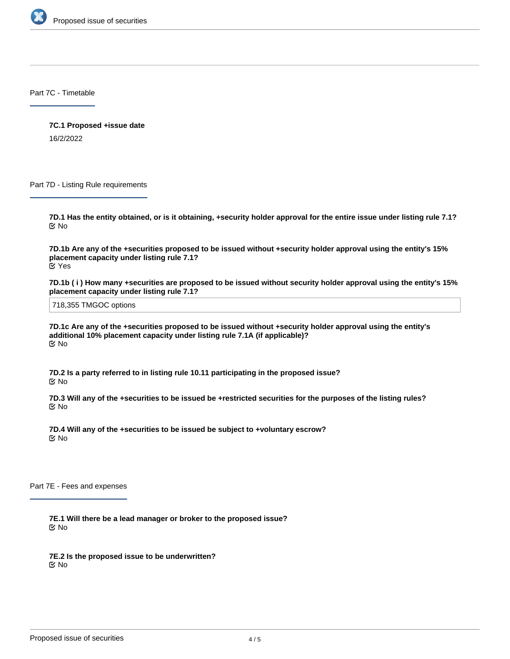

Part 7C - Timetable

**7C.1 Proposed +issue date** 16/2/2022

Part 7D - Listing Rule requirements

**7D.1 Has the entity obtained, or is it obtaining, +security holder approval for the entire issue under listing rule 7.1?** No

**7D.1b Are any of the +securities proposed to be issued without +security holder approval using the entity's 15% placement capacity under listing rule 7.1?** Yes

**7D.1b ( i ) How many +securities are proposed to be issued without security holder approval using the entity's 15% placement capacity under listing rule 7.1?**

718,355 TMGOC options

**7D.1c Are any of the +securities proposed to be issued without +security holder approval using the entity's additional 10% placement capacity under listing rule 7.1A (if applicable)?** No

**7D.2 Is a party referred to in listing rule 10.11 participating in the proposed issue?** No

**7D.3 Will any of the +securities to be issued be +restricted securities for the purposes of the listing rules?** No

**7D.4 Will any of the +securities to be issued be subject to +voluntary escrow?** No

Part 7E - Fees and expenses

**7E.1 Will there be a lead manager or broker to the proposed issue?** No

**7E.2 Is the proposed issue to be underwritten?** No